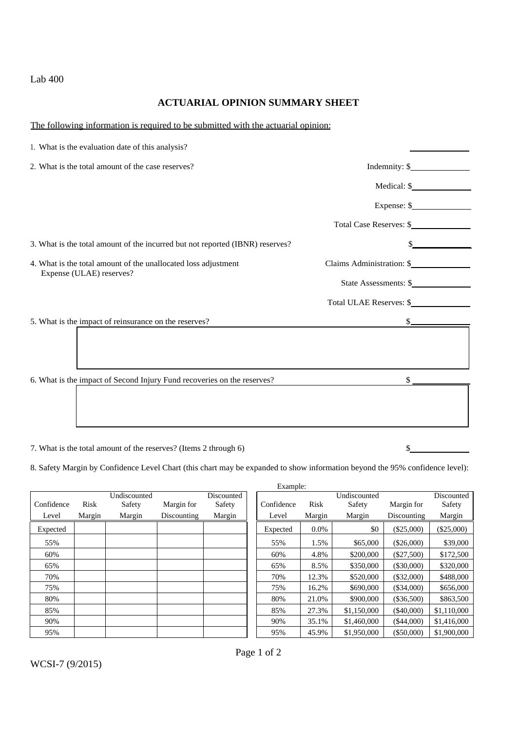## Lab 400

## **ACTUARIAL OPINION SUMMARY SHEET**

## The following information is required to be submitted with the actuarial opinion:

| 1. What is the evaluation date of this analysis?                              |                           |  |
|-------------------------------------------------------------------------------|---------------------------|--|
| 2. What is the total amount of the case reserves?                             | Indemnity: \$             |  |
|                                                                               |                           |  |
|                                                                               | Expense: $\frac{1}{2}$    |  |
|                                                                               | Total Case Reserves: \$   |  |
| 3. What is the total amount of the incurred but not reported (IBNR) reserves? |                           |  |
| 4. What is the total amount of the unallocated loss adjustment                | Claims Administration: \$ |  |
| Expense (ULAE) reserves?                                                      | State Assessments: \$     |  |
|                                                                               | Total ULAE Reserves: \$   |  |
| 5. What is the impact of reinsurance on the reserves?                         | $s$ <sub>——</sub>         |  |
|                                                                               |                           |  |
|                                                                               |                           |  |
| 6. What is the impact of Second Injury Fund recoveries on the reserves?       | \$                        |  |
|                                                                               |                           |  |
|                                                                               |                           |  |
|                                                                               |                           |  |

7. What is the total amount of the reserves? (Items 2 through 6) \$

8. Safety Margin by Confidence Level Chart (this chart may be expanded to show information beyond the 95% confidence level):

|            |        |              |             |            | Example:   |         |              |              |              |
|------------|--------|--------------|-------------|------------|------------|---------|--------------|--------------|--------------|
|            |        | Undiscounted |             | Discounted |            |         | Undiscounted |              | Discounted   |
| Confidence | Risk   | Safety       | Margin for  | Safety     | Confidence | Risk    | Safety       | Margin for   | Safety       |
| Level      | Margin | Margin       | Discounting | Margin     | Level      | Margin  | Margin       | Discounting  | Margin       |
| Expected   |        |              |             |            | Expected   | $0.0\%$ | \$0          | $(\$25,000)$ | $(\$25,000)$ |
| 55%        |        |              |             |            | 55%        | 1.5%    | \$65,000     | $(\$26,000)$ | \$39,000     |
| 60%        |        |              |             |            | 60%        | 4.8%    | \$200,000    | $(\$27,500)$ | \$172,500    |
| 65%        |        |              |             |            | 65%        | 8.5%    | \$350,000    | (\$30,000)   | \$320,000    |
| 70%        |        |              |             |            | 70%        | 12.3%   | \$520,000    | $(\$32,000)$ | \$488,000    |
| 75%        |        |              |             |            | 75%        | 16.2%   | \$690,000    | $(\$34,000)$ | \$656,000    |
| 80%        |        |              |             |            | 80%        | 21.0%   | \$900,000    | (\$36,500)   | \$863,500    |
| 85%        |        |              |             |            | 85%        | 27.3%   | \$1,150,000  | $(\$40,000)$ | \$1,110,000  |
| 90%        |        |              |             |            | 90%        | 35.1%   | \$1,460,000  | (\$44,000)   | \$1,416,000  |
| 95%        |        |              |             |            | 95%        | 45.9%   | \$1,950,000  | $(\$50,000)$ | \$1,900,000  |